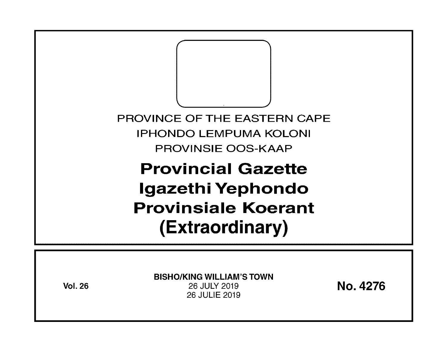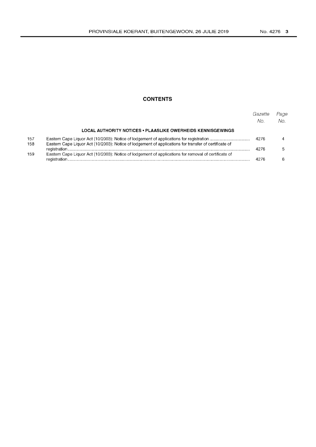# **CONTENTS**

|            |                                                                                                       | Gazette<br>No. | Page<br>No. |
|------------|-------------------------------------------------------------------------------------------------------|----------------|-------------|
|            | LOCAL AUTHORITY NOTICES • PLAASLIKE OWERHEIDS KENNISGEWINGS                                           |                |             |
| 157<br>158 | Eastern Cape Liquor Act (10/2003): Notice of lodgement of applications for transfer of certificate of | 4276           |             |
| 159        | Eastern Cape Liquor Act (10/2003): Notice of lodgement of applications for removal of certificate of  | 4276           |             |
|            |                                                                                                       | 4276           |             |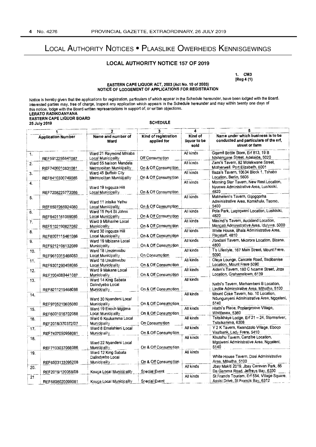# LOCAL AUTHORITY NOTICES • PLAASLIKE OWERHEIDS KENNISGEWINGS

# LOCAL AUTHORITY NOTICE 157 OF 2019

1. CM3 [Reg 4 (1)

#### EASTERN CAPE LIQUOR ACT, 2003 (Act No. 10 of 2003) NOTICE OF LODGEMENT OF APPLICATIONS FOR REGISTRATION

Notice is hereby given that the applications for registration, particulars of which appear in the Schedule hereunder, have been lodged with the Board. Interested parties may, free of charge, inspect any application which appears in the Schedule hereunder and may within twenty one days of this notice, lodge with the Board written representations in support of, or written objections. LERATO RADIKOANYANA EASTERN CAPE LIQUOR BOARD 25 July 2019

|                           | 25 July 2019      |                                                         | <b>SCHEDULE</b>           |                      |                                                                                            |
|---------------------------|-------------------|---------------------------------------------------------|---------------------------|----------------------|--------------------------------------------------------------------------------------------|
| <b>Application Number</b> |                   | Name and number of                                      | 3<br>Kind of registration | 4<br>Kind of         | Name under which business is to be                                                         |
|                           |                   | Ward                                                    | applied for               | liquor to be<br>sold | conducted and particulars of the erf,<br>street or farm                                    |
| 1.                        | REF5912255641087  | Ward 21 Raymond Mhlaba<br>Local Municipality            | Off Consumption           | All kinds            | Ggamfi Bottle Store, Erf 813, 19 B<br>Ntshangane Street, Adelaide, 5020                    |
| 2.                        | REF7406010831081  | Ward 55 Nelson Mandela<br>Metropolitan Municipality     | On & Off Consumption      | All kinds            | Zami's Tavern, 82 Molekwane Street,<br>Motherwell, Port Elizabeth, 6001                    |
| з.                        | REF8410300749085  | Ward 45 Buffalo City<br>Metropolitan Municipality       | On & Off Consumption      | All kinds            | Baza's Tavern, 10634 Block 1, Tshabo<br>Location, Berlin, 5606                             |
| 4.                        | REF7208225773086  | Ward 19 Ingquza Hill<br>Local Municipality              | On & Off Consumption      | All kinds            | Morning Star Tavern, New Rest Location,<br>Nyuswa Administrative Area, Lusikisiki,<br>4820 |
| 5.                        | REF8507265924080  | Ward 11 intsika Yethu<br>Local Municipality             | On & Off Consumption      | All kinds            | Mabheleni's Tavern, Gqogqorha<br>Administrative Area, Komkhulu, Tsomo,<br>5400             |
| 6.                        | REF9401161059085  | Ward 15 Port St Johns<br><b>Local Municipality</b>      | On & Off Consumption      | All kinds            | Pola Park, Luqoqweni Location, Lusikisiki,<br>4820                                         |
| 7.                        | REF5102190627082  | Ward 9 Mbhashe Local<br>Municipality                    | On & Off Consumption      | All kinds            | Masindi's Tavem, Auckland Location,<br>Mangati Administrative Area, Idutywa, 5000          |
| 8.                        | REF8007115461086  | Ward 30 Ingquza Hill<br>Local Municipality              | On & Off Consumption      | All kinds            | White House, Bhala Administrative Area,<br>Flagstaff, 4810                                 |
| 9.                        | REF9212106132089  | Ward 19 Mbizana Local<br>Municipality                   | On & Off Consumption      | All kinds            | Zondani Tavern, Mkorora Location, Bizana,<br>4800                                          |
| 10.                       | REF9610315466083  | Ward 18 Umzimvubu<br>Local Municipality                 | On Consumption            | All kinds            | T's Lifestyle, 167 Main Street, Mount Frere,<br>5090                                       |
| 11.                       | REF9301290458085  | Ward 18 Umzimvubu<br>Local Municipality                 | On & Off Consumption      | All kinds            | Oleya Lounge, Cancele Road, Badibanise<br>Location, Mount Frere 5090                       |
| 12.                       | REF7004080441087  | Ward 9 Makana Local<br><b>Municipality</b>              | On & Off Consumption      | All kinds            | Aiden's Tavern, 180 C Ncame Street, Joza<br>Location, Grahamstown, 6139                    |
| 13.                       | REF8211215468088  | Ward 14 King Sabata<br>Dalindyebo Local<br>Municipality | On & Off Consumption      | All kinds            | Nathi's Tavern, Marhambeni B Location,<br>Lindile Adminstrative Area, Mthatha, 5100        |
| 14.                       | REF9705210605080  | Ward 30 Nyandeni Local<br><b>Municipality</b>           | On & Off Consumption      | Ali kinds            | Mount Coke Tavern, No. 10 Location,<br>Ndungunyeni Administrative Area, Ngqeleni,<br>5140  |
| $\overline{15}$ .         | REF6001016702088  | Ward 19 Enoch Mgijima<br>Local Municipality             | On & Off Consumption      | All kinds            | Hlathi's Piace, Poplargroove Village,<br>Whittlesea, 5360                                  |
| 16.                       | REF2018/370372/07 | Ward 6 Koukamma Local<br>Municipality                   | On Consumption            | All kinds            | Tsitsikhaya Lodge, Erf 21 - 24, Stormsnver,<br>Tsitsikamma, 6308                           |
| 17.                       | REF7407050958081  | Ward 8 Emalahleni Local<br><b>Municipality</b>          | On & Off Consumption      | Ail kinds            | Y 2 K Tavern, Kwandzolo Village, Eboqo<br>Vaalbank, Lady Frere, 5410                       |
| 18.                       | REF7103037066086  | Ward 22 Nyandeni Local<br><b>Municipality</b>           | On & Off Consumption      | All kinds            | Khutshu Tavern, Canzibe Location,<br>Mgojweni Administrative Area, Nggeleni,<br>5140       |
| 19.                       | REF6503133095208  | Ward 12 King Sabata<br>Dalindyebo Local<br>Municipality | On & Off Consumption      | Ali kinds            | White House Tavem, Dosi Administrative<br>Area, Mthatha. 5100                              |
| 20.                       | REF2019/120058/08 | Kouga Local Municipality                                | <b>Special Event</b>      | All kinds            | Jbay Makiti 2019, Jbay Caravan Park, 85<br>Da Gamma Road, Jeffreys Bay, 6330               |
| 21.                       | REF6808020099081  | Kouga Local Municipality                                | Special Event             | All kinds            | St Francis Tourism, Erf 554, Village Square,<br>Assisi Drive, St Francis Bay, 6312         |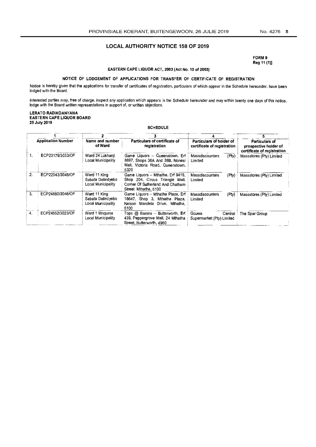## LOCAL AUTHORITY NOTICE 158 OF 2019

FORM 9 Reg 11 (1)]

#### EASTERN CAPE LIQUOR ACT, 2003 (Act No. 10 of 2003)

# NOTICE OF LODGEMENT OF APPLICATIONS FOR TRANSFER OF CERTIFICATE OF REGISTRATION

Notice is hereby given that the applications for transfer of certificates of registration, particulars of which appear in the Schedule hereunder, have been lodged with the Board.

Interested parties may, free of charge, inspect any application which appears in the Schedule hereunder and may within twenty one days of this notice, lodge with the Board written representations in support of, or written objections.

#### LERATO RADIKOANYANA EASTERN CAPE LIQUOR BOARD 25July 2019

**SCHEDULE** 

| <b>Application Number</b> |                  | Name and number<br>of Ward                              | Particulars of certificate of<br>registration                                                                                     | Particulars of holder of<br>certificate of registration | Particulars of<br>prospective holder of<br>certificate of registration |  |
|---------------------------|------------------|---------------------------------------------------------|-----------------------------------------------------------------------------------------------------------------------------------|---------------------------------------------------------|------------------------------------------------------------------------|--|
| 1.                        | ECP23179/3033/OF | Ward 24 Lukhanii<br>Local Municipality                  | Game Liquors - Queenstown, Erf<br>8697, Shops 38A And 38B, Nonesi<br>Mall, Victoria Road, Queenstown,<br>5320                     | Massdiscounters<br>(Pty)<br>Limited                     | Massstores (Pty) Limited                                               |  |
| 2.                        | ECP22043/3046/OF | Ward 11 King<br>Sabata Dalindyebo<br>Local Municipality | Game Liquors - Mthatha, Erf 9416,<br>Shop 204, Circus Triangle Mall.<br>Corner Of Sutherland And Chatham<br>Street. Mthatha, 5100 | Massdiscounters<br>$($ Pty $)$<br>Limited               | Massstores (Pty) Limited                                               |  |
| 3.                        | ECP24880/3046/OF | Ward 11 King<br>Sabata Dalindyebo<br>Local Municipality | Game Liguors - Mthatha Plaza, Erf<br>18647. Shop 3. Mthatha Plaza.<br>Nelson Mandela Drive, Mthatha,<br>5100                      | Massdiscounters<br>(Pty)<br>Limited                     | Massstores (Pty) Limited                                               |  |
| 4.                        | ECP24552/3023/OF | Ward 1 Mnquma<br>Local Municipality                     | Tops @ Barons - Butterworth, Erf<br>439, Peppergrove Mail, 24 Mthatha<br>Street, Butterworth, 4960                                | Gcuwa<br>Central<br>Supermarket (Pty) Limited           | The Spar Group                                                         |  |